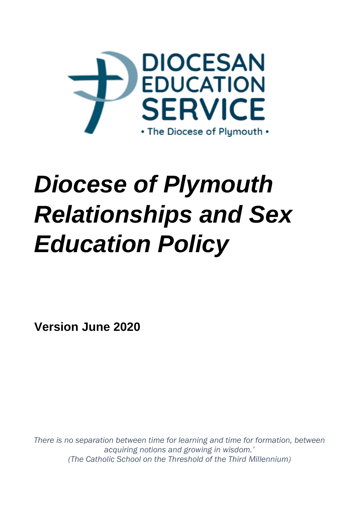

# *Diocese of Plymouth Relationships and Sex Education Policy*

**Version June 2020**

*There is no separation between time for learning and time for formation, between acquiring notions and growing in wisdom.' (The Catholic School on the Threshold of the Third Millennium)*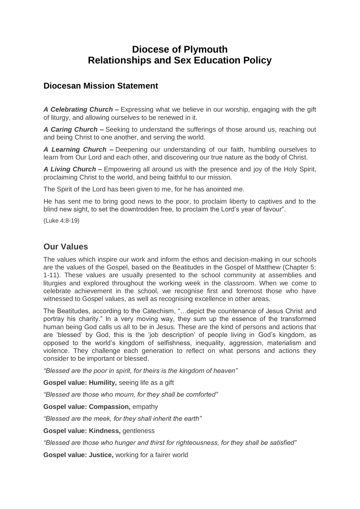# **Diocese of Plymouth Relationships and Sex Education Policy**

# **Diocesan Mission Statement**

*A Celebrating Church –* Expressing what we believe in our worship, engaging with the gift of liturgy, and allowing ourselves to be renewed in it.

*A Caring Church –* Seeking to understand the sufferings of those around us, reaching out and being Christ to one another, and serving the world.

*A Learning Church –* Deepening our understanding of our faith, humbling ourselves to learn from Our Lord and each other, and discovering our true nature as the body of Christ.

*A Living Church –* Empowering all around us with the presence and joy of the Holy Spirit, proclaiming Christ to the world, and being faithful to our mission.

The Spirit of the Lord has been given to me, for he has anointed me.

He has sent me to bring good news to the poor, to proclaim liberty to captives and to the blind new sight, to set the downtrodden free, to proclaim the Lord's year of favour".

(Luke 4:8-19)

# **Our Values**

The values which inspire our work and inform the ethos and decision-making in our schools are the values of the Gospel, based on the Beatitudes in the Gospel of Matthew (Chapter 5: 1-11). These values are usually presented to the school community at assemblies and liturgies and explored throughout the working week in the classroom. When we come to celebrate achievement in the school, we recognise first and foremost those who have witnessed to Gospel values, as well as recognising excellence in other areas.

The Beatitudes, according to the Catechism, "…depict the countenance of Jesus Christ and portray his charity." In a very moving way, they sum up the essence of the transformed human being God calls us all to be in Jesus. These are the kind of persons and actions that are 'blessed' by God, this is the 'job description' of people living in God's kingdom, as opposed to the world's kingdom of selfishness, inequality, aggression, materialism and violence. They challenge each generation to reflect on what persons and actions they consider to be important or blessed.

*"Blessed are the poor in spirit, for theirs is the kingdom of heaven"*

**Gospel value: Humility,** seeing life as a gift

*"Blessed are those who mourn, for they shall be comforted"*

**Gospel value: Compassion,** empathy

*"Blessed are the meek, for they shall inherit the earth"*

**Gospel value: Kindness,** gentleness

*"Blessed are those who hunger and thirst for righteousness, for they shall be satisfied"*

**Gospel value: Justice,** working for a fairer world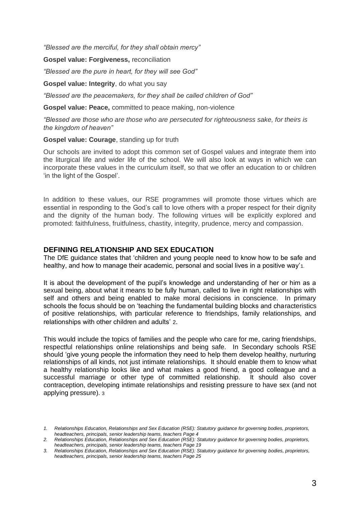*"Blessed are the merciful, for they shall obtain mercy"*

**Gospel value: Forgiveness,** reconciliation

*"Blessed are the pure in heart, for they will see God"*

#### **Gospel value: Integrity**, do what you say

*"Blessed are the peacemakers, for they shall be called children of God"*

**Gospel value: Peace,** committed to peace making, non-violence

*"Blessed are those who are those who are persecuted for righteousness sake, for theirs is the kingdom of heaven"*

#### **Gospel value: Courage**, standing up for truth

Our schools are invited to adopt this common set of Gospel values and integrate them into the liturgical life and wider life of the school. We will also look at ways in which we can incorporate these values in the curriculum itself, so that we offer an education to or children 'in the light of the Gospel'.

In addition to these values, our RSE programmes will promote those virtues which are essential in responding to the God's call to love others with a proper respect for their dignity and the dignity of the human body. The following virtues will be explicitly explored and promoted: faithfulness, fruitfulness, chastity, integrity, prudence, mercy and compassion.

#### **DEFINING RELATIONSHIP AND SEX EDUCATION**

The DfE guidance states that 'children and young people need to know how to be safe and healthy, and how to manage their academic, personal and social lives in a positive way'1.

It is about the development of the pupil's knowledge and understanding of her or him as a sexual being, about what it means to be fully human, called to live in right relationships with self and others and being enabled to make moral decisions in conscience. In primary schools the focus should be on 'teaching the fundamental building blocks and characteristics of positive relationships, with particular reference to friendships, family relationships, and relationships with other children and adults' 2.

This would include the topics of families and the people who care for me, caring friendships, respectful relationships online relationships and being safe. In Secondary schools RSE should 'give young people the information they need to help them develop healthy, nurturing relationships of all kinds, not just intimate relationships. It should enable them to know what a healthy relationship looks like and what makes a good friend, a good colleague and a successful marriage or other type of committed relationship. It should also cover contraception, developing intimate relationships and resisting pressure to have sex (and not applying pressure). 3

*<sup>1.</sup> Relationships Education, Relationships and Sex Education (RSE): Statutory guidance for governing bodies, proprietors, headteachers, principals, senior leadership teams, teachers Page 4*

*<sup>2.</sup> Relationships Education, Relationships and Sex Education (RSE): Statutory guidance for governing bodies, proprietors, headteachers, principals, senior leadership teams, teachers Page 19*

*<sup>3.</sup> Relationships Education, Relationships and Sex Education (RSE): Statutory guidance for governing bodies, proprietors, headteachers, principals, senior leadership teams, teachers Page 25*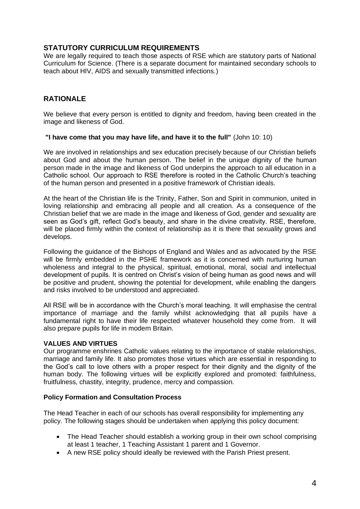# **STATUTORY CURRICULUM REQUIREMENTS**

We are legally required to teach those aspects of RSE which are statutory parts of National Curriculum for Science. (There is a separate document for maintained secondary schools to teach about HIV, AIDS and sexually transmitted infections.)

# **RATIONALE**

We believe that every person is entitled to dignity and freedom, having been created in the image and likeness of God.

#### **"I have come that you may have life, and have it to the full"** (John 10: 10)

We are involved in relationships and sex education precisely because of our Christian beliefs about God and about the human person. The belief in the unique dignity of the human person made in the image and likeness of God underpins the approach to all education in a Catholic school. Our approach to RSE therefore is rooted in the Catholic Church's teaching of the human person and presented in a positive framework of Christian ideals.

At the heart of the Christian life is the Trinity, Father, Son and Spirit in communion, united in loving relationship and embracing all people and all creation. As a consequence of the Christian belief that we are made in the image and likeness of God, gender and sexuality are seen as God's gift, reflect God's beauty, and share in the divine creativity. RSE, therefore, will be placed firmly within the context of relationship as it is there that sexuality grows and develops.

Following the guidance of the Bishops of England and Wales and as advocated by the RSE will be firmly embedded in the PSHE framework as it is concerned with nurturing human wholeness and integral to the physical, spiritual, emotional, moral, social and intellectual development of pupils. It is centred on Christ's vision of being human as good news and will be positive and prudent, showing the potential for development, while enabling the dangers and risks involved to be understood and appreciated.

All RSE will be in accordance with the Church's moral teaching. It will emphasise the central importance of marriage and the family whilst acknowledging that all pupils have a fundamental right to have their life respected whatever household they come from. It will also prepare pupils for life in modern Britain.

# **VALUES AND VIRTUES**

Our programme enshrines Catholic values relating to the importance of stable relationships, marriage and family life. It also promotes those virtues which are essential in responding to the God's call to love others with a proper respect for their dignity and the dignity of the human body. The following virtues will be explicitly explored and promoted: faithfulness, fruitfulness, chastity, integrity, prudence, mercy and compassion.

#### **Policy Formation and Consultation Process**

The Head Teacher in each of our schools has overall responsibility for implementing any policy. The following stages should be undertaken when applying this policy document:

- The Head Teacher should establish a working group in their own school comprising at least 1 teacher, 1 Teaching Assistant 1 parent and 1 Governor.
- A new RSE policy should ideally be reviewed with the Parish Priest present.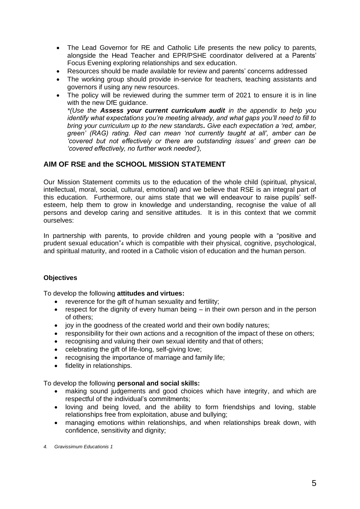- The Lead Governor for RE and Catholic Life presents the new policy to parents, alongside the Head Teacher and EPR/PSHE coordinator delivered at a Parents' Focus Evening exploring relationships and sex education.
- Resources should be made available for review and parents' concerns addressed
- The working group should provide in-service for teachers, teaching assistants and governors if using any new resources.
- The policy will be reviewed during the summer term of 2021 to ensure it is in line with the new DfE guidance.

*\*(Use the Assess your current curriculum audit in the appendix to help you identify what expectations you're meeting already, and what gaps you'll need to fill to bring your curriculum up to the new standards. Give each expectation a 'red, amber, green' (RAG) rating. Red can mean 'not currently taught at all', amber can be 'covered but not effectively or there are outstanding issues' and green can be 'covered effectively, no further work needed'),*

# **AIM OF RSE and the SCHOOL MISSION STATEMENT**

Our Mission Statement commits us to the education of the whole child (spiritual, physical, intellectual, moral, social, cultural, emotional) and we believe that RSE is an integral part of this education. Furthermore, our aims state that we will endeavour to raise pupils' selfesteem, help them to grow in knowledge and understanding, recognise the value of all persons and develop caring and sensitive attitudes. It is in this context that we commit ourselves:

In partnership with parents, to provide children and young people with a "positive and prudent sexual education"4 which is compatible with their physical, cognitive, psychological, and spiritual maturity, and rooted in a Catholic vision of education and the human person.

# **Objectives**

To develop the following **attitudes and virtues:** 

- reverence for the gift of human sexuality and fertility;
- respect for the dignity of every human being in their own person and in the person of others;
- joy in the goodness of the created world and their own bodily natures;
- responsibility for their own actions and a recognition of the impact of these on others;
- recognising and valuing their own sexual identity and that of others;
- celebrating the gift of life-long, self-giving love;
- recognising the importance of marriage and family life;
- fidelity in relationships.

To develop the following **personal and social skills:** 

- making sound judgements and good choices which have integrity, and which are respectful of the individual's commitments;
- loving and being loved, and the ability to form friendships and loving, stable relationships free from exploitation, abuse and bullying;
- managing emotions within relationships, and when relationships break down, with confidence, sensitivity and dignity;

*4. Gravissimum Educationis 1*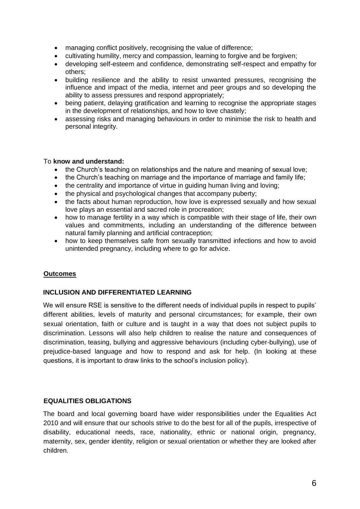- managing conflict positively, recognising the value of difference;
- cultivating humility, mercy and compassion, learning to forgive and be forgiven;
- developing self-esteem and confidence, demonstrating self-respect and empathy for others;
- building resilience and the ability to resist unwanted pressures, recognising the influence and impact of the media, internet and peer groups and so developing the ability to assess pressures and respond appropriately;
- being patient, delaying gratification and learning to recognise the appropriate stages in the development of relationships, and how to love chastely;
- assessing risks and managing behaviours in order to minimise the risk to health and personal integrity.

#### To **know and understand:**

- the Church's teaching on relationships and the nature and meaning of sexual love;
- the Church's teaching on marriage and the importance of marriage and family life;
- the centrality and importance of virtue in guiding human living and loving;
- the physical and psychological changes that accompany puberty;
- the facts about human reproduction, how love is expressed sexually and how sexual love plays an essential and sacred role in procreation;
- how to manage fertility in a way which is compatible with their stage of life, their own values and commitments, including an understanding of the difference between natural family planning and artificial contraception;
- how to keep themselves safe from sexually transmitted infections and how to avoid unintended pregnancy, including where to go for advice.

# **Outcomes**

#### **INCLUSION AND DIFFERENTIATED LEARNING**

We will ensure RSE is sensitive to the different needs of individual pupils in respect to pupils' different abilities, levels of maturity and personal circumstances; for example, their own sexual orientation, faith or culture and is taught in a way that does not subject pupils to discrimination. Lessons will also help children to realise the nature and consequences of discrimination, teasing, bullying and aggressive behaviours (including cyber-bullying), use of prejudice-based language and how to respond and ask for help. (In looking at these questions, it is important to draw links to the school's inclusion policy).

# **EQUALITIES OBLIGATIONS**

The board and local governing board have wider responsibilities under the Equalities Act 2010 and will ensure that our schools strive to do the best for all of the pupils, irrespective of disability, educational needs, race, nationality, ethnic or national origin, pregnancy, maternity, sex, gender identity, religion or sexual orientation or whether they are looked after children.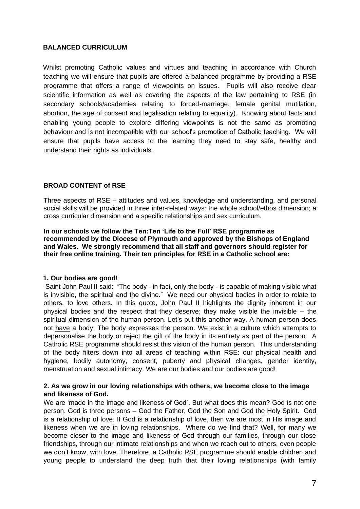#### **BALANCED CURRICULUM**

Whilst promoting Catholic values and virtues and teaching in accordance with Church teaching we will ensure that pupils are offered a balanced programme by providing a RSE programme that offers a range of viewpoints on issues. Pupils will also receive clear scientific information as well as covering the aspects of the law pertaining to RSE (in secondary schools/academies relating to forced-marriage, female genital mutilation, abortion, the age of consent and legalisation relating to equality). Knowing about facts and enabling young people to explore differing viewpoints is not the same as promoting behaviour and is not incompatible with our school's promotion of Catholic teaching. We will ensure that pupils have access to the learning they need to stay safe, healthy and understand their rights as individuals.

#### **BROAD CONTENT of RSE**

Three aspects of RSE – attitudes and values, knowledge and understanding, and personal social skills will be provided in three inter-related ways: the whole school/ethos dimension; a cross curricular dimension and a specific relationships and sex curriculum.

**In our schools we follow the Ten:Ten 'Life to the Full' RSE programme as recommended by the Diocese of Plymouth and approved by the Bishops of England and Wales. We strongly recommend that all staff and governors should register for their free online training. Their ten principles for RSE in a Catholic school are:**

#### **1. Our bodies are good!**

Saint John Paul II said: "The body - in fact, only the body - is capable of making visible what is invisible, the spiritual and the divine." We need our physical bodies in order to relate to others, to love others. In this quote, John Paul II highlights the dignity inherent in our physical bodies and the respect that they deserve; they make visible the invisible  $-$  the spiritual dimension of the human person. Let's put this another way. A human person does not have a body. The body expresses the person. We exist in a culture which attempts to depersonalise the body or reject the gift of the body in its entirety as part of the person. A Catholic RSE programme should resist this vision of the human person. This understanding of the body filters down into all areas of teaching within RSE: our physical health and hygiene, bodily autonomy, consent, puberty and physical changes, gender identity, menstruation and sexual intimacy. We are our bodies and our bodies are good!

#### **2. As we grow in our loving relationships with others, we become close to the image and likeness of God.**

We are 'made in the image and likeness of God'. But what does this mean? God is not one person. God is three persons – God the Father, God the Son and God the Holy Spirit. God is a relationship of love. If God is a relationship of love, then we are most in His image and likeness when we are in loving relationships. Where do we find that? Well, for many we become closer to the image and likeness of God through our families, through our close friendships, through our intimate relationships and when we reach out to others, even people we don't know, with love. Therefore, a Catholic RSE programme should enable children and young people to understand the deep truth that their loving relationships (with family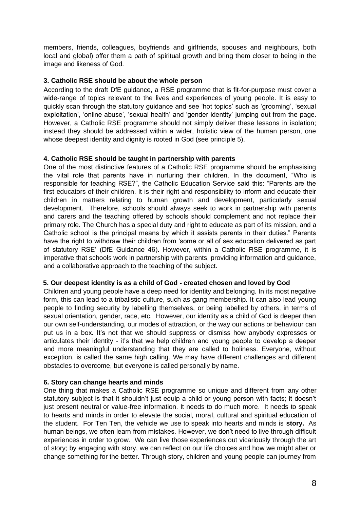members, friends, colleagues, boyfriends and girlfriends, spouses and neighbours, both local and global) offer them a path of spiritual growth and bring them closer to being in the image and likeness of God.

#### **3. Catholic RSE should be about the whole person**

According to the draft DfE guidance, a RSE programme that is fit-for-purpose must cover a wide-range of topics relevant to the lives and experiences of young people. It is easy to quickly scan through the statutory guidance and see 'hot topics' such as 'grooming', 'sexual exploitation', 'online abuse', 'sexual health' and 'gender identity' jumping out from the page. However, a Catholic RSE programme should not simply deliver these lessons in isolation; instead they should be addressed within a wider, holistic view of the human person, one whose deepest identity and dignity is rooted in God (see principle 5).

# **4. Catholic RSE should be taught in partnership with parents**

One of the most distinctive features of a Catholic RSE programme should be emphasising the vital role that parents have in nurturing their children. In the document, "Who is responsible for teaching RSE?", the Catholic Education Service said this: "Parents are the first educators of their children. It is their right and responsibility to inform and educate their children in matters relating to human growth and development, particularly sexual development. Therefore, schools should always seek to work in partnership with parents and carers and the teaching offered by schools should complement and not replace their primary role. The Church has a special duty and right to educate as part of its mission, and a Catholic school is the principal means by which it assists parents in their duties." Parents have the right to withdraw their children from 'some or all of sex education delivered as part of statutory RSE' (DfE Guidance 46). However, within a Catholic RSE programme, it is imperative that schools work in partnership with parents, providing information and guidance, and a collaborative approach to the teaching of the subject.

#### **5. Our deepest identity is as a child of God - created chosen and loved by God**

Children and young people have a deep need for identity and belonging. In its most negative form, this can lead to a tribalistic culture, such as gang membership. It can also lead young people to finding security by labelling themselves, or being labelled by others, in terms of sexual orientation, gender, race, etc. However, our identity as a child of God is deeper than our own self-understanding, our modes of attraction, or the way our actions or behaviour can put us in a box. It's not that we should suppress or dismiss how anybody expresses or articulates their identity - it's that we help children and young people to develop a deeper and more meaningful understanding that they are called to holiness. Everyone, without exception, is called the same high calling. We may have different challenges and different obstacles to overcome, but everyone is called personally by name.

# **6. Story can change hearts and minds**

One thing that makes a Catholic RSE programme so unique and different from any other statutory subject is that it shouldn't just equip a child or young person with facts; it doesn't just present neutral or value-free information. It needs to do much more. It needs to speak to hearts and minds in order to elevate the social, moral, cultural and spiritual education of the student. For Ten Ten, the vehicle we use to speak into hearts and minds is **story.** As human beings, we often learn from mistakes. However, we don't need to live through difficult experiences in order to grow. We can live those experiences out vicariously through the art of story; by engaging with story, we can reflect on our life choices and how we might alter or change something for the better. Through story, children and young people can journey from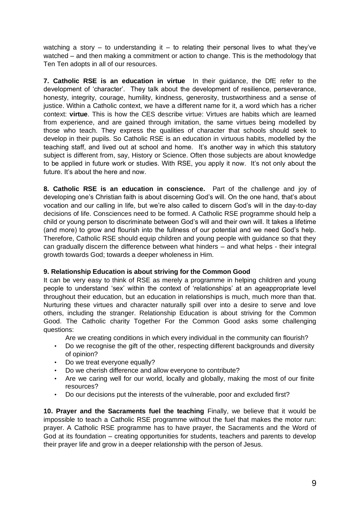watching a story – to understanding it – to relating their personal lives to what they've watched – and then making a commitment or action to change. This is the methodology that Ten Ten adopts in all of our resources.

**7. Catholic RSE is an education in virtue** In their guidance, the DfE refer to the development of 'character'. They talk about the development of resilience, perseverance, honesty, integrity, courage, humility, kindness, generosity, trustworthiness and a sense of justice. Within a Catholic context, we have a different name for it, a word which has a richer context: **virtue**. This is how the CES describe virtue: Virtues are habits which are learned from experience, and are gained through imitation, the same virtues being modelled by those who teach. They express the qualities of character that schools should seek to develop in their pupils. So Catholic RSE is an education in virtuous habits, modelled by the teaching staff, and lived out at school and home. It's another way in which this statutory subject is different from, say, History or Science. Often those subjects are about knowledge to be applied in future work or studies. With RSE, you apply it now. It's not only about the future. It's about the here and now.

**8. Catholic RSE is an education in conscience.** Part of the challenge and joy of developing one's Christian faith is about discerning God's will. On the one hand, that's about vocation and our calling in life, but we're also called to discern God's will in the day-to-day decisions of life. Consciences need to be formed. A Catholic RSE programme should help a child or young person to discriminate between God's will and their own will. It takes a lifetime (and more) to grow and flourish into the fullness of our potential and we need God's help. Therefore, Catholic RSE should equip children and young people with guidance so that they can gradually discern the difference between what hinders – and what helps - their integral growth towards God; towards a deeper wholeness in Him.

# **9. Relationship Education is about striving for the Common Good**

It can be very easy to think of RSE as merely a programme in helping children and young people to understand 'sex' within the context of 'relationships' at an ageappropriate level throughout their education, but an education in relationships is much, much more than that. Nurturing these virtues and character naturally spill over into a desire to serve and love others, including the stranger. Relationship Education is about striving for the Common Good. The Catholic charity Together For the Common Good asks some challenging questions:

Are we creating conditions in which every individual in the community can flourish?

- Do we recognise the gift of the other, respecting different backgrounds and diversity of opinion?
- Do we treat everyone equally?
- Do we cherish difference and allow everyone to contribute?
- Are we caring well for our world, locally and globally, making the most of our finite resources?
- Do our decisions put the interests of the vulnerable, poor and excluded first?

**10. Prayer and the Sacraments fuel the teaching** Finally, we believe that it would be impossible to teach a Catholic RSE programme without the fuel that makes the motor run: prayer. A Catholic RSE programme has to have prayer, the Sacraments and the Word of God at its foundation – creating opportunities for students, teachers and parents to develop their prayer life and grow in a deeper relationship with the person of Jesus.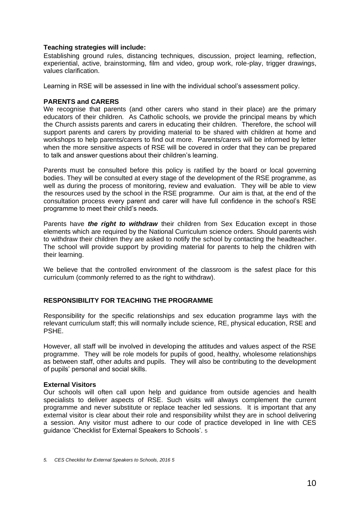#### **Teaching strategies will include:**

Establishing ground rules, distancing techniques, discussion, project learning, reflection, experiential, active, brainstorming, film and video, group work, role-play, trigger drawings, values clarification.

Learning in RSE will be assessed in line with the individual school's assessment policy.

#### **PARENTS and CARERS**

We recognise that parents (and other carers who stand in their place) are the primary educators of their children. As Catholic schools, we provide the principal means by which the Church assists parents and carers in educating their children. Therefore, the school will support parents and carers by providing material to be shared with children at home and workshops to help parents/carers to find out more. Parents/carers will be informed by letter when the more sensitive aspects of RSE will be covered in order that they can be prepared to talk and answer questions about their children's learning.

Parents must be consulted before this policy is ratified by the board or local governing bodies. They will be consulted at every stage of the development of the RSE programme, as well as during the process of monitoring, review and evaluation. They will be able to view the resources used by the school in the RSE programme. Our aim is that, at the end of the consultation process every parent and carer will have full confidence in the school's RSE programme to meet their child's needs.

Parents have *the right to withdraw* their children from Sex Education except in those elements which are required by the National Curriculum science orders. Should parents wish to withdraw their children they are asked to notify the school by contacting the headteacher. The school will provide support by providing material for parents to help the children with their learning.

We believe that the controlled environment of the classroom is the safest place for this curriculum (commonly referred to as the right to withdraw).

#### **RESPONSIBILITY FOR TEACHING THE PROGRAMME**

Responsibility for the specific relationships and sex education programme lays with the relevant curriculum staff; this will normally include science, RE, physical education, RSE and PSHE.

However, all staff will be involved in developing the attitudes and values aspect of the RSE programme. They will be role models for pupils of good, healthy, wholesome relationships as between staff, other adults and pupils. They will also be contributing to the development of pupils' personal and social skills.

#### **External Visitors**

Our schools will often call upon help and guidance from outside agencies and health specialists to deliver aspects of RSE. Such visits will always complement the current programme and never substitute or replace teacher led sessions. It is important that any external visitor is clear about their role and responsibility whilst they are in school delivering a session. Any visitor must adhere to our code of practice developed in line with CES guidance 'Checklist for External Speakers to Schools'. 5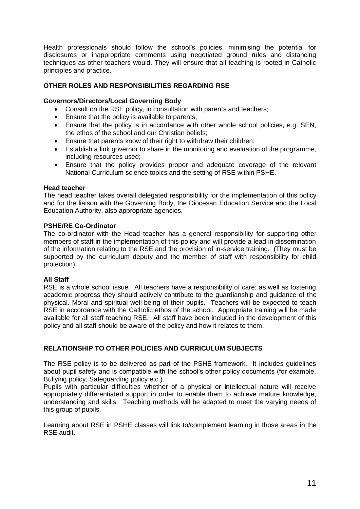Health professionals should follow the school's policies, minimising the potential for disclosures or inappropriate comments using negotiated ground rules and distancing techniques as other teachers would. They will ensure that all teaching is rooted in Catholic principles and practice.

# **OTHER ROLES AND RESPONSIBILITIES REGARDING RSE**

#### **Governors/Directors/Local Governing Body**

- Consult on the RSE policy, in consultation with parents and teachers;
- Ensure that the policy is available to parents;
- Ensure that the policy is in accordance with other whole school policies, e.g. SEN, the ethos of the school and our Christian beliefs;
- Ensure that parents know of their right to withdraw their children:
- Establish a link governor to share in the monitoring and evaluation of the programme, including resources used;
- Ensure that the policy provides proper and adequate coverage of the relevant National Curriculum science topics and the setting of RSE within PSHE.

#### **Head teacher**

The head teacher takes overall delegated responsibility for the implementation of this policy and for the liaison with the Governing Body, the Diocesan Education Service and the Local Education Authority, also appropriate agencies.

#### **PSHE/RE Co-Ordinator**

The co-ordinator with the Head teacher has a general responsibility for supporting other members of staff in the implementation of this policy and will provide a lead in dissemination of the information relating to the RSE and the provision of in-service training. (They must be supported by the curriculum deputy and the member of staff with responsibility for child protection).

#### **All Staff**

RSE is a whole school issue. All teachers have a responsibility of care; as well as fostering academic progress they should actively contribute to the guardianship and guidance of the physical. Moral and spiritual well-being of their pupils. Teachers will be expected to teach RSE in accordance with the Catholic ethos of the school. Appropriate training will be made available for all staff teaching RSE. All staff have been included in the development of this policy and all staff should be aware of the policy and how it relates to them.

#### **RELATIONSHIP TO OTHER POLICIES AND CURRICULUM SUBJECTS**

The RSE policy is to be delivered as part of the PSHE framework. It includes guidelines about pupil safety and is compatible with the school's other policy documents (for example, Bullying policy, Safeguarding policy etc.).

Pupils with particular difficulties whether of a physical or intellectual nature will receive appropriately differentiated support in order to enable them to achieve mature knowledge, understanding and skills. Teaching methods will be adapted to meet the varying needs of this group of pupils.

Learning about RSE in PSHE classes will link to/complement learning in those areas in the RSE audit.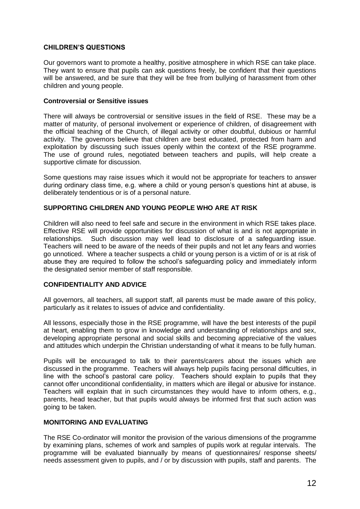#### **CHILDREN'S QUESTIONS**

Our governors want to promote a healthy, positive atmosphere in which RSE can take place. They want to ensure that pupils can ask questions freely, be confident that their questions will be answered, and be sure that they will be free from bullying of harassment from other children and young people.

#### **Controversial or Sensitive issues**

There will always be controversial or sensitive issues in the field of RSE. These may be a matter of maturity, of personal involvement or experience of children, of disagreement with the official teaching of the Church, of illegal activity or other doubtful, dubious or harmful activity. The governors believe that children are best educated, protected from harm and exploitation by discussing such issues openly within the context of the RSE programme. The use of ground rules, negotiated between teachers and pupils, will help create a supportive climate for discussion.

Some questions may raise issues which it would not be appropriate for teachers to answer during ordinary class time, e.g. where a child or young person's questions hint at abuse, is deliberately tendentious or is of a personal nature.

#### **SUPPORTING CHILDREN AND YOUNG PEOPLE WHO ARE AT RISK**

Children will also need to feel safe and secure in the environment in which RSE takes place. Effective RSE will provide opportunities for discussion of what is and is not appropriate in relationships. Such discussion may well lead to disclosure of a safeguarding issue. Teachers will need to be aware of the needs of their pupils and not let any fears and worries go unnoticed. Where a teacher suspects a child or young person is a victim of or is at risk of abuse they are required to follow the school's safeguarding policy and immediately inform the designated senior member of staff responsible.

#### **CONFIDENTIALITY AND ADVICE**

All governors, all teachers, all support staff, all parents must be made aware of this policy, particularly as it relates to issues of advice and confidentiality.

All lessons, especially those in the RSE programme, will have the best interests of the pupil at heart, enabling them to grow in knowledge and understanding of relationships and sex, developing appropriate personal and social skills and becoming appreciative of the values and attitudes which underpin the Christian understanding of what it means to be fully human.

Pupils will be encouraged to talk to their parents/carers about the issues which are discussed in the programme. Teachers will always help pupils facing personal difficulties, in line with the school's pastoral care policy. Teachers should explain to pupils that they cannot offer unconditional confidentiality, in matters which are illegal or abusive for instance. Teachers will explain that in such circumstances they would have to inform others, e.g., parents, head teacher, but that pupils would always be informed first that such action was going to be taken.

#### **MONITORING AND EVALUATING**

The RSE Co-ordinator will monitor the provision of the various dimensions of the programme by examining plans, schemes of work and samples of pupils work at regular intervals. The programme will be evaluated biannually by means of questionnaires/ response sheets/ needs assessment given to pupils, and / or by discussion with pupils, staff and parents. The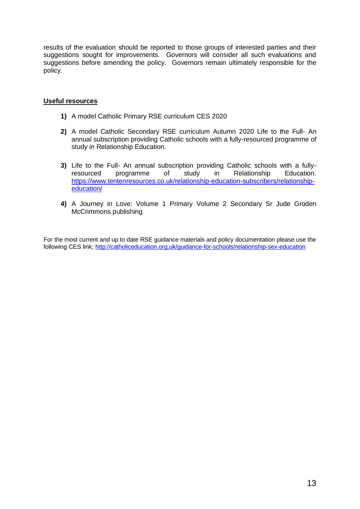results of the evaluation should be reported to those groups of interested parties and their suggestions sought for improvements. Governors will consider all such evaluations and suggestions before amending the policy. Governors remain ultimately responsible for the policy.

#### **Useful resources**

- **1)** A model Catholic Primary RSE curriculum CES 2020
- **2)** A model Catholic Secondary RSE curriculum Autumn 2020 Life to the Full- An annual subscription providing Catholic schools with a fully-resourced programme of study in Relationship Education.
- **3)** Life to the Full- An annual subscription providing Catholic schools with a fullyresourced programme of study in Relationship Education. [https://www.tentenresources.co.uk/relationship-education-subscribers/relationship](https://www.tentenresources.co.uk/relationship-education-subscribers/relationship-%20%20%20%20education/)[education/](https://www.tentenresources.co.uk/relationship-education-subscribers/relationship-%20%20%20%20education/)
- **4)** A Journey in Love: Volume 1 Primary Volume 2 Secondary Sr Jude Groden McCrimmons publishing

For the most current and up to date RSE guidance materials and policy documentation please use the following CES link;<http://catholiceducation.org.uk/guidance-for-schools/relationship-sex-education>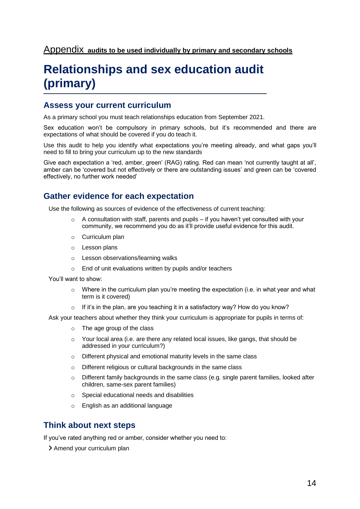# **Relationships and sex education audit (primary)**

# **Assess your current curriculum**

As a primary school you must teach relationships education from September 2021.

Sex education won't be compulsory in primary schools, but it's recommended and there are expectations of what should be covered if you do teach it.

Use this audit to help you identify what expectations you're meeting already, and what gaps you'll need to fill to bring your curriculum up to the new standards

Give each expectation a 'red, amber, green' (RAG) rating. Red can mean 'not currently taught at all', amber can be 'covered but not effectively or there are outstanding issues' and green can be 'covered effectively, no further work needed'

# **Gather evidence for each expectation**

Use the following as sources of evidence of the effectiveness of current teaching:

- $\circ$  A consultation with staff, parents and pupils if you haven't yet consulted with your community, we recommend you do as it'll provide useful evidence for this audit.
- o Curriculum plan
- o Lesson plans
- o Lesson observations/learning walks
- o End of unit evaluations written by pupils and/or teachers

You'll want to show:

- Where in the curriculum plan you're meeting the expectation (i.e. in what year and what term is it covered)
- If it's in the plan, are you teaching it in a satisfactory way? How do you know?

Ask your teachers about whether they think your curriculum is appropriate for pupils in terms of:

- o The age group of the class
- $\circ$  Your local area (i.e. are there any related local issues, like gangs, that should be addressed in your curriculum?)
- o Different physical and emotional maturity levels in the same class
- o Different religious or cultural backgrounds in the same class
- o Different family backgrounds in the same class (e.g. single parent families, looked after children, same-sex parent families)
- o Special educational needs and disabilities
- o English as an additional language

# **Think about next steps**

If you've rated anything red or amber, consider whether you need to:

> Amend your curriculum plan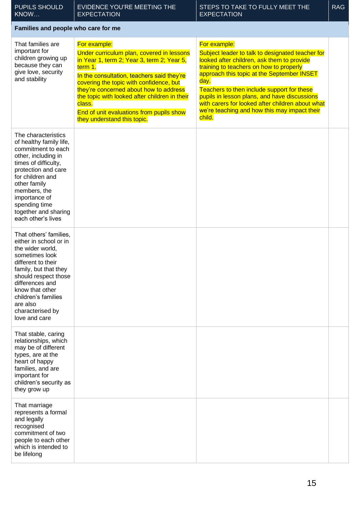| <b>PUPILS SHOULD</b><br>KNOW                                                                                                                                                                                                                                                   | EVIDENCE YOU'RE MEETING THE<br><b>EXPECTATION</b>                                                                                                                                                                                                                                                                                                                                           | STEPS TO TAKE TO FULLY MEET THE<br><b>EXPECTATION</b>                                                                                                                                                                                                                                                                                                                                                                       | <b>RAG</b> |
|--------------------------------------------------------------------------------------------------------------------------------------------------------------------------------------------------------------------------------------------------------------------------------|---------------------------------------------------------------------------------------------------------------------------------------------------------------------------------------------------------------------------------------------------------------------------------------------------------------------------------------------------------------------------------------------|-----------------------------------------------------------------------------------------------------------------------------------------------------------------------------------------------------------------------------------------------------------------------------------------------------------------------------------------------------------------------------------------------------------------------------|------------|
| Families and people who care for me                                                                                                                                                                                                                                            |                                                                                                                                                                                                                                                                                                                                                                                             |                                                                                                                                                                                                                                                                                                                                                                                                                             |            |
| That families are<br>important for<br>children growing up<br>because they can<br>give love, security<br>and stability                                                                                                                                                          | For example:<br>Under curriculum plan, covered in lessons<br>in Year 1, term 2; Year 3, term 2; Year 5,<br>term 1.<br>In the consultation, teachers said they're<br>covering the topic with confidence, but<br>they're concerned about how to address<br>the topic with looked after children in their<br>class.<br>End of unit evaluations from pupils show<br>they understand this topic. | For example:<br>Subject leader to talk to designated teacher for<br>looked after children, ask them to provide<br>training to teachers on how to properly<br>approach this topic at the September INSET<br>day.<br>Teachers to then include support for these<br>pupils in lesson plans, and have discussions<br>with carers for looked after children about what<br>we're teaching and how this may impact their<br>child. |            |
| The characteristics<br>of healthy family life,<br>commitment to each<br>other, including in<br>times of difficulty,<br>protection and care<br>for children and<br>other family<br>members, the<br>importance of<br>spending time<br>together and sharing<br>each other's lives |                                                                                                                                                                                                                                                                                                                                                                                             |                                                                                                                                                                                                                                                                                                                                                                                                                             |            |
| That others' families,<br>either in school or in<br>the wider world,<br>sometimes look<br>different to their<br>family, but that they<br>should respect those<br>differences and<br>know that other<br>children's families<br>are also<br>characterised by<br>love and care    |                                                                                                                                                                                                                                                                                                                                                                                             |                                                                                                                                                                                                                                                                                                                                                                                                                             |            |
| That stable, caring<br>relationships, which<br>may be of different<br>types, are at the<br>heart of happy<br>families, and are<br>important for<br>children's security as<br>they grow up                                                                                      |                                                                                                                                                                                                                                                                                                                                                                                             |                                                                                                                                                                                                                                                                                                                                                                                                                             |            |
| That marriage<br>represents a formal<br>and legally<br>recognised<br>commitment of two<br>people to each other<br>which is intended to<br>be lifelong                                                                                                                          |                                                                                                                                                                                                                                                                                                                                                                                             |                                                                                                                                                                                                                                                                                                                                                                                                                             |            |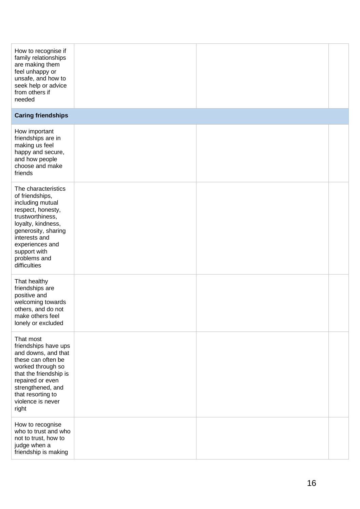| How to recognise if<br>family relationships<br>are making them<br>feel unhappy or<br>unsafe, and how to<br>seek help or advice<br>from others if<br>needed                                                                           |  |  |
|--------------------------------------------------------------------------------------------------------------------------------------------------------------------------------------------------------------------------------------|--|--|
| <b>Caring friendships</b>                                                                                                                                                                                                            |  |  |
| How important<br>friendships are in<br>making us feel<br>happy and secure,<br>and how people<br>choose and make<br>friends                                                                                                           |  |  |
| The characteristics<br>of friendships,<br>including mutual<br>respect, honesty,<br>trustworthiness,<br>loyalty, kindness,<br>generosity, sharing<br>interests and<br>experiences and<br>support with<br>problems and<br>difficulties |  |  |
| That healthy<br>friendships are<br>positive and<br>welcoming towards<br>others, and do not<br>make others feel<br>lonely or excluded                                                                                                 |  |  |
| That most<br>friendships have ups<br>and downs, and that<br>these can often be<br>worked through so<br>that the friendship is<br>repaired or even<br>strengthened, and<br>that resorting to<br>violence is never<br>right            |  |  |
| How to recognise<br>who to trust and who<br>not to trust, how to<br>judge when a<br>friendship is making                                                                                                                             |  |  |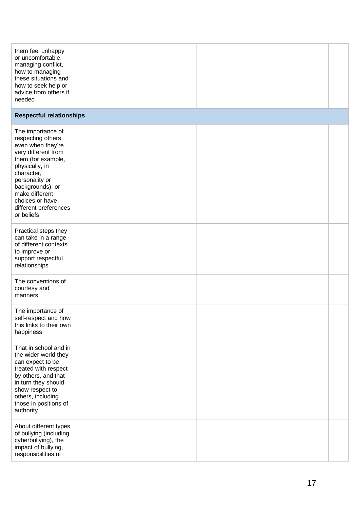| them feel unhappy<br>or uncomfortable,<br>managing conflict,<br>how to managing<br>these situations and<br>how to seek help or<br>advice from others if<br>needed                                                                                           |  |  |
|-------------------------------------------------------------------------------------------------------------------------------------------------------------------------------------------------------------------------------------------------------------|--|--|
| <b>Respectful relationships</b>                                                                                                                                                                                                                             |  |  |
| The importance of<br>respecting others,<br>even when they're<br>very different from<br>them (for example,<br>physically, in<br>character,<br>personality or<br>backgrounds), or<br>make different<br>choices or have<br>different preferences<br>or beliefs |  |  |
| Practical steps they<br>can take in a range<br>of different contexts<br>to improve or<br>support respectful<br>relationships                                                                                                                                |  |  |
| The conventions of<br>courtesy and<br>manners                                                                                                                                                                                                               |  |  |
| The importance of<br>self-respect and how<br>this links to their own<br>happiness                                                                                                                                                                           |  |  |
| That in school and in<br>the wider world they<br>can expect to be<br>treated with respect<br>by others, and that<br>in turn they should<br>show respect to<br>others, including<br>those in positions of<br>authority                                       |  |  |
| About different types<br>of bullying (including<br>cyberbullying), the<br>impact of bullying,<br>responsibilities of                                                                                                                                        |  |  |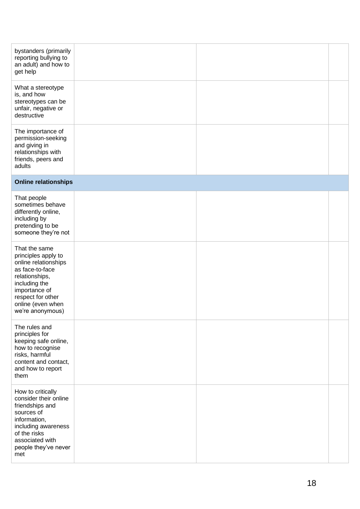| bystanders (primarily<br>reporting bullying to<br>an adult) and how to<br>get help                                                                                                                |  |  |
|---------------------------------------------------------------------------------------------------------------------------------------------------------------------------------------------------|--|--|
| What a stereotype<br>is, and how<br>stereotypes can be<br>unfair, negative or<br>destructive                                                                                                      |  |  |
| The importance of<br>permission-seeking<br>and giving in<br>relationships with<br>friends, peers and<br>adults                                                                                    |  |  |
| <b>Online relationships</b>                                                                                                                                                                       |  |  |
| That people<br>sometimes behave<br>differently online,<br>including by<br>pretending to be<br>someone they're not                                                                                 |  |  |
| That the same<br>principles apply to<br>online relationships<br>as face-to-face<br>relationships,<br>including the<br>importance of<br>respect for other<br>online (even when<br>we're anonymous) |  |  |
| The rules and<br>principles for<br>keeping safe online,<br>how to recognise<br>risks, harmful<br>content and contact,<br>and how to report<br>them                                                |  |  |
| How to critically<br>consider their online<br>friendships and<br>sources of<br>information,<br>including awareness<br>of the risks<br>associated with<br>people they've never<br>met              |  |  |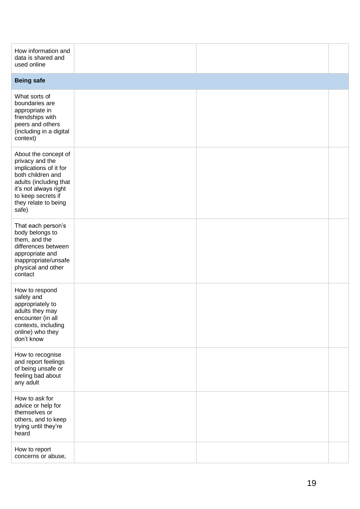| How information and<br>data is shared and<br>used online                                                                                                                                         |  |  |
|--------------------------------------------------------------------------------------------------------------------------------------------------------------------------------------------------|--|--|
| <b>Being safe</b>                                                                                                                                                                                |  |  |
| What sorts of<br>boundaries are<br>appropriate in<br>friendships with<br>peers and others<br>(including in a digital<br>context)                                                                 |  |  |
| About the concept of<br>privacy and the<br>implications of it for<br>both children and<br>adults (including that<br>it's not always right<br>to keep secrets if<br>they relate to being<br>safe) |  |  |
| That each person's<br>body belongs to<br>them, and the<br>differences between<br>appropriate and<br>inappropriate/unsafe<br>physical and other<br>contact                                        |  |  |
| How to respond<br>safely and<br>appropriately to<br>adults they may<br>encounter (in all<br>contexts, including<br>online) who they<br>don't know                                                |  |  |
| How to recognise<br>and report feelings<br>of being unsafe or<br>feeling bad about<br>any adult                                                                                                  |  |  |
| How to ask for<br>advice or help for<br>themselves or<br>others, and to keep<br>trying until they're<br>heard                                                                                    |  |  |
| How to report<br>concerns or abuse,                                                                                                                                                              |  |  |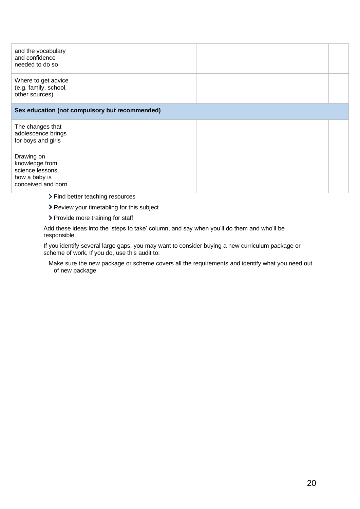| and the vocabulary<br>and confidence<br>needed to do so                                 |                                                |  |
|-----------------------------------------------------------------------------------------|------------------------------------------------|--|
| Where to get advice<br>(e.g. family, school,<br>other sources)                          |                                                |  |
|                                                                                         | Sex education (not compulsory but recommended) |  |
| The changes that<br>adolescence brings<br>for boys and girls                            |                                                |  |
| Drawing on<br>knowledge from<br>science lessons,<br>how a baby is<br>conceived and born |                                                |  |

- > Find better teaching resources
- > Review your timetabling for this subject
- > Provide more training for staff

Add these ideas into the 'steps to take' column, and say when you'll do them and who'll be responsible.

If you identify several large gaps, you may want to consider buying a new curriculum package or scheme of work. If you do, use this audit to:

Make sure the new package or scheme covers all the requirements and identify what you need out of new package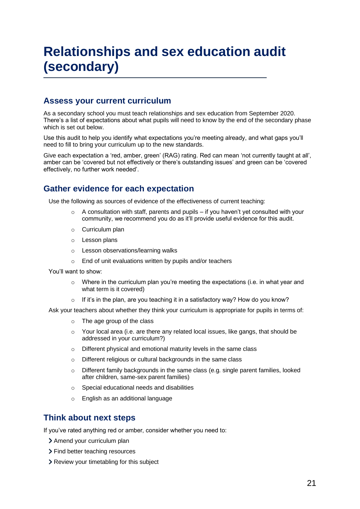# **Relationships and sex education audit (secondary)**

# **Assess your current curriculum**

As a secondary school you must teach relationships and sex education from September 2020. There's a list of expectations about what pupils will need to know by the end of the secondary phase which is set out below.

Use this audit to help you identify what expectations you're meeting already, and what gaps you'll need to fill to bring your curriculum up to the new standards.

Give each expectation a 'red, amber, green' (RAG) rating. Red can mean 'not currently taught at all', amber can be 'covered but not effectively or there's outstanding issues' and green can be 'covered effectively, no further work needed'.

# **Gather evidence for each expectation**

Use the following as sources of evidence of the effectiveness of current teaching:

- A consultation with staff, parents and pupils if you haven't yet consulted with your community, we recommend you do as it'll provide useful evidence for this audit.
- o Curriculum plan
- o Lesson plans
- o Lesson observations/learning walks
- o End of unit evaluations written by pupils and/or teachers

You'll want to show:

- o Where in the curriculum plan you're meeting the expectations (i.e. in what year and what term is it covered)
- If it's in the plan, are you teaching it in a satisfactory way? How do you know?

Ask your teachers about whether they think your curriculum is appropriate for pupils in terms of:

- o The age group of the class
- o Your local area (i.e. are there any related local issues, like gangs, that should be addressed in your curriculum?)
- o Different physical and emotional maturity levels in the same class
- o Different religious or cultural backgrounds in the same class
- $\circ$  Different family backgrounds in the same class (e.g. single parent families, looked after children, same-sex parent families)
- o Special educational needs and disabilities
- o English as an additional language

# **Think about next steps**

If you've rated anything red or amber, consider whether you need to:

- > Amend your curriculum plan
- > Find better teaching resources
- > Review your timetabling for this subject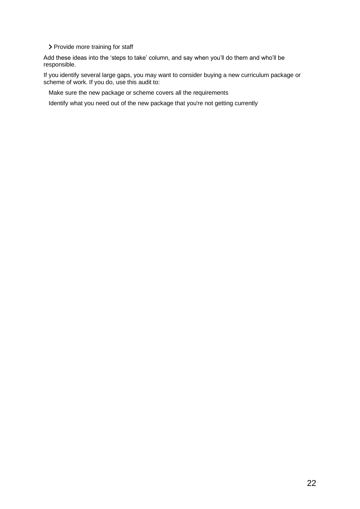> Provide more training for staff

Add these ideas into the 'steps to take' column, and say when you'll do them and who'll be responsible.

If you identify several large gaps, you may want to consider buying a new curriculum package or scheme of work. If you do, use this audit to:

Make sure the new package or scheme covers all the requirements

Identify what you need out of the new package that you're not getting currently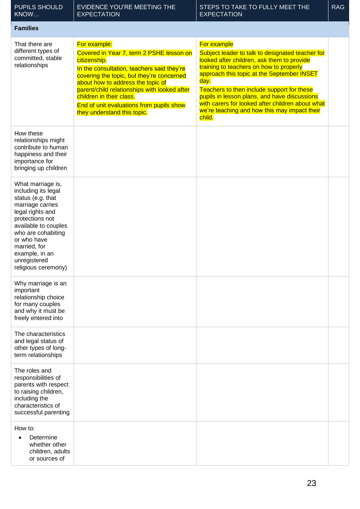| <b>PUPILS SHOULD</b><br>KNOW                                                                                                                                                                                                                                   | <b>EVIDENCE YOU'RE MEETING THE</b><br><b>EXPECTATION</b>                                                                                                                                                                                                                                                                                                        | STEPS TO TAKE TO FULLY MEET THE<br><b>EXPECTATION</b>                                                                                                                                                                                                                                                                                                                                                                      | <b>RAG</b> |
|----------------------------------------------------------------------------------------------------------------------------------------------------------------------------------------------------------------------------------------------------------------|-----------------------------------------------------------------------------------------------------------------------------------------------------------------------------------------------------------------------------------------------------------------------------------------------------------------------------------------------------------------|----------------------------------------------------------------------------------------------------------------------------------------------------------------------------------------------------------------------------------------------------------------------------------------------------------------------------------------------------------------------------------------------------------------------------|------------|
| <b>Families</b>                                                                                                                                                                                                                                                |                                                                                                                                                                                                                                                                                                                                                                 |                                                                                                                                                                                                                                                                                                                                                                                                                            |            |
| That there are<br>different types of<br>committed, stable<br>relationships                                                                                                                                                                                     | For example:<br>Covered in Year 7, term 2 PSHE lesson on<br>citizenship.<br>In the consultation, teachers said they're<br>covering the topic, but they're concerned<br>about how to address the topic of<br>parent/child relationships with looked after<br>children in their class.<br>End of unit evaluations from pupils show<br>they understand this topic. | For example<br>Subject leader to talk to designated teacher for<br>looked after children, ask them to provide<br>training to teachers on how to properly<br>approach this topic at the September INSET<br>day.<br>Teachers to then include support for these<br>pupils in lesson plans, and have discussions<br>with carers for looked after children about what<br>we're teaching and how this may impact their<br>child. |            |
| How these<br>relationships might<br>contribute to human<br>happiness and their<br>importance for<br>bringing up children                                                                                                                                       |                                                                                                                                                                                                                                                                                                                                                                 |                                                                                                                                                                                                                                                                                                                                                                                                                            |            |
| What marriage is,<br>including its legal<br>status (e.g. that<br>marriage carries<br>legal rights and<br>protections not<br>available to couples<br>who are cohabiting<br>or who have<br>married, for<br>example, in an<br>unregistered<br>religious ceremony) |                                                                                                                                                                                                                                                                                                                                                                 |                                                                                                                                                                                                                                                                                                                                                                                                                            |            |
| Why marriage is an<br>important<br>relationship choice<br>for many couples<br>and why it must be<br>freely entered into                                                                                                                                        |                                                                                                                                                                                                                                                                                                                                                                 |                                                                                                                                                                                                                                                                                                                                                                                                                            |            |
| The characteristics<br>and legal status of<br>other types of long-<br>term relationships                                                                                                                                                                       |                                                                                                                                                                                                                                                                                                                                                                 |                                                                                                                                                                                                                                                                                                                                                                                                                            |            |
| The roles and<br>responsibilities of<br>parents with respect<br>to raising children,<br>including the<br>characteristics of<br>successful parenting                                                                                                            |                                                                                                                                                                                                                                                                                                                                                                 |                                                                                                                                                                                                                                                                                                                                                                                                                            |            |
| How to:<br>Determine<br>whether other<br>children, adults<br>or sources of                                                                                                                                                                                     |                                                                                                                                                                                                                                                                                                                                                                 |                                                                                                                                                                                                                                                                                                                                                                                                                            |            |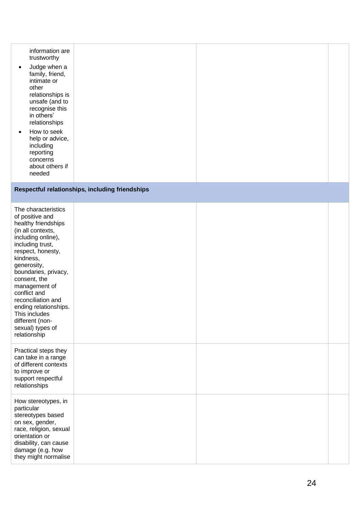| respect, honesty,<br>kindness,<br>generosity,<br>boundaries, privacy,<br>consent, the<br>management of<br>conflict and<br>reconciliation and<br>ending relationships.<br>This includes<br>different (non-<br>sexual) types of<br>relationship |  |  |
|-----------------------------------------------------------------------------------------------------------------------------------------------------------------------------------------------------------------------------------------------|--|--|
| Practical steps they<br>can take in a range<br>of different contexts<br>to improve or<br>support respectful<br>relationships                                                                                                                  |  |  |
| How stereotypes, in<br>particular<br>stereotypes based<br>on sex, gender,<br>race, religion, sexual<br>orientation or<br>disability, can cause<br>damage (e.g. how<br>they might normalise                                                    |  |  |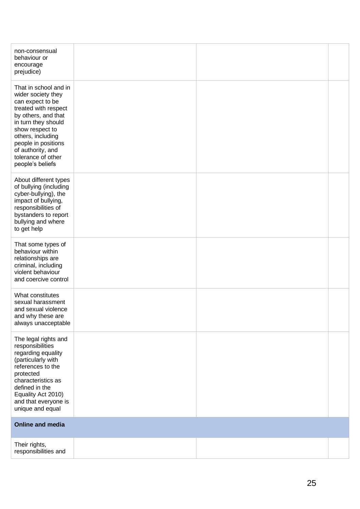| non-consensual<br>behaviour or<br>encourage<br>prejudice)                                                                                                                                                                                                           |  |  |
|---------------------------------------------------------------------------------------------------------------------------------------------------------------------------------------------------------------------------------------------------------------------|--|--|
| That in school and in<br>wider society they<br>can expect to be<br>treated with respect<br>by others, and that<br>in turn they should<br>show respect to<br>others, including<br>people in positions<br>of authority, and<br>tolerance of other<br>people's beliefs |  |  |
| About different types<br>of bullying (including<br>cyber-bullying), the<br>impact of bullying,<br>responsibilities of<br>bystanders to report<br>bullying and where<br>to get help                                                                                  |  |  |
| That some types of<br>behaviour within<br>relationships are<br>criminal, including<br>violent behaviour<br>and coercive control                                                                                                                                     |  |  |
| What constitutes<br>sexual harassment<br>and sexual violence<br>and why these are<br>always unacceptable                                                                                                                                                            |  |  |
| The legal rights and<br>responsibilities<br>regarding equality<br>(particularly with<br>references to the<br>protected<br>characteristics as<br>defined in the<br>Equality Act 2010)<br>and that everyone is<br>unique and equal                                    |  |  |
| <b>Online and media</b>                                                                                                                                                                                                                                             |  |  |
| Their rights,<br>responsibilities and                                                                                                                                                                                                                               |  |  |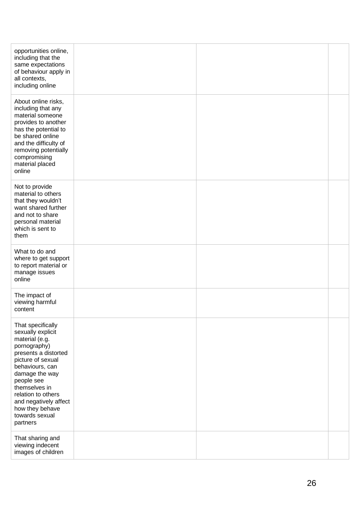| opportunities online,<br>including that the<br>same expectations<br>of behaviour apply in<br>all contexts,<br>including online                                                                                                                                                            |  |  |
|-------------------------------------------------------------------------------------------------------------------------------------------------------------------------------------------------------------------------------------------------------------------------------------------|--|--|
| About online risks,<br>including that any<br>material someone<br>provides to another<br>has the potential to<br>be shared online<br>and the difficulty of<br>removing potentially<br>compromising<br>material placed<br>online                                                            |  |  |
| Not to provide<br>material to others<br>that they wouldn't<br>want shared further<br>and not to share<br>personal material<br>which is sent to<br>them                                                                                                                                    |  |  |
| What to do and<br>where to get support<br>to report material or<br>manage issues<br>online                                                                                                                                                                                                |  |  |
| The impact of<br>viewing harmful<br>content                                                                                                                                                                                                                                               |  |  |
| That specifically<br>sexually explicit<br>material (e.g.<br>pornography)<br>presents a distorted<br>picture of sexual<br>behaviours, can<br>damage the way<br>people see<br>themselves in<br>relation to others<br>and negatively affect<br>how they behave<br>towards sexual<br>partners |  |  |
| That sharing and<br>viewing indecent<br>images of children                                                                                                                                                                                                                                |  |  |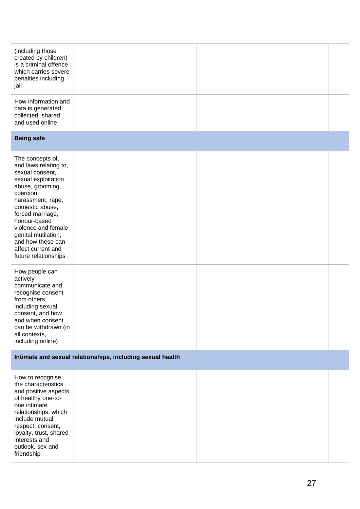| (including those<br>created by children)<br>is a criminal offence<br>which carries severe<br>penalties including<br>jail                                                                                                                                                                                          |                                                            |  |
|-------------------------------------------------------------------------------------------------------------------------------------------------------------------------------------------------------------------------------------------------------------------------------------------------------------------|------------------------------------------------------------|--|
| How information and<br>data is generated,<br>collected, shared<br>and used online                                                                                                                                                                                                                                 |                                                            |  |
| <b>Being safe</b>                                                                                                                                                                                                                                                                                                 |                                                            |  |
| The concepts of,<br>and laws relating to,<br>sexual consent,<br>sexual exploitation<br>abuse, grooming,<br>coercion,<br>harassment, rape,<br>domestic abuse,<br>forced marriage,<br>honour-based<br>violence and female<br>genital mutilation,<br>and how these can<br>affect current and<br>future relationships |                                                            |  |
| How people can<br>actively<br>communicate and<br>recognise consent<br>from others,<br>including sexual<br>consent, and how<br>and when consent<br>can be withdrawn (in<br>all contexts,<br>including online)                                                                                                      |                                                            |  |
|                                                                                                                                                                                                                                                                                                                   | Intimate and sexual relationships, including sexual health |  |
| How to recognise<br>the characteristics<br>and positive aspects<br>of healthy one-to-<br>one intimate<br>relationships, which<br>include mutual<br>respect, consent,<br>loyalty, trust, shared<br>interests and<br>outlook, sex and<br>friendship                                                                 |                                                            |  |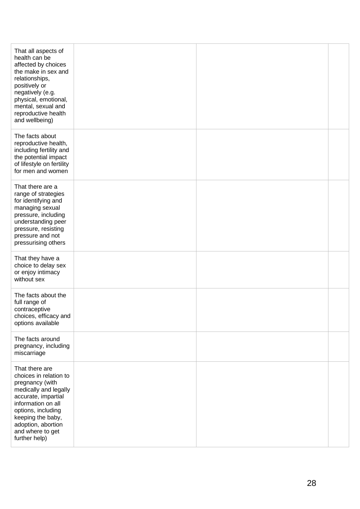| That all aspects of<br>health can be<br>affected by choices<br>the make in sex and<br>relationships,<br>positively or<br>negatively (e.g.<br>physical, emotional,<br>mental, sexual and<br>reproductive health<br>and wellbeing)        |  |  |
|-----------------------------------------------------------------------------------------------------------------------------------------------------------------------------------------------------------------------------------------|--|--|
| The facts about<br>reproductive health,<br>including fertility and<br>the potential impact<br>of lifestyle on fertility<br>for men and women                                                                                            |  |  |
| That there are a<br>range of strategies<br>for identifying and<br>managing sexual<br>pressure, including<br>understanding peer<br>pressure, resisting<br>pressure and not<br>pressurising others                                        |  |  |
| That they have a<br>choice to delay sex<br>or enjoy intimacy<br>without sex                                                                                                                                                             |  |  |
| The facts about the<br>full range of<br>contraceptive<br>choices, efficacy and<br>options available                                                                                                                                     |  |  |
| The facts around<br>pregnancy, including<br>miscarriage                                                                                                                                                                                 |  |  |
| That there are<br>choices in relation to<br>pregnancy (with<br>medically and legally<br>accurate, impartial<br>information on all<br>options, including<br>keeping the baby,<br>adoption, abortion<br>and where to get<br>further help) |  |  |